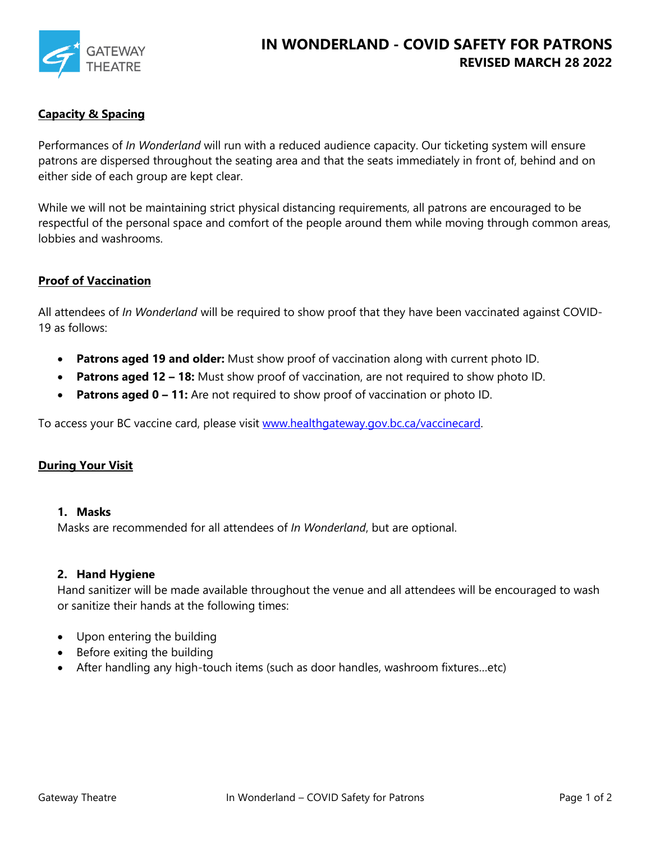

## **Capacity & Spacing**

Performances of *In Wonderland* will run with a reduced audience capacity. Our ticketing system will ensure patrons are dispersed throughout the seating area and that the seats immediately in front of, behind and on either side of each group are kept clear.

While we will not be maintaining strict physical distancing requirements, all patrons are encouraged to be respectful of the personal space and comfort of the people around them while moving through common areas, lobbies and washrooms.

### **Proof of Vaccination**

All attendees of *In Wonderland* will be required to show proof that they have been vaccinated against COVID-19 as follows:

- **Patrons aged 19 and older:** Must show proof of vaccination along with current photo ID.
- **Patrons aged 12 – 18:** Must show proof of vaccination, are not required to show photo ID.
- **Patrons aged 0 – 11:** Are not required to show proof of vaccination or photo ID.

To access your BC vaccine card, please visit [www.healthgateway.gov.bc.ca/vaccinecard.](http://www.healthgateway.gov.bc.ca/vaccinecard)

#### **During Your Visit**

#### **1. Masks**

Masks are recommended for all attendees of *In Wonderland*, but are optional.

#### **2. Hand Hygiene**

Hand sanitizer will be made available throughout the venue and all attendees will be encouraged to wash or sanitize their hands at the following times:

- Upon entering the building
- Before exiting the building
- After handling any high-touch items (such as door handles, washroom fixtures…etc)